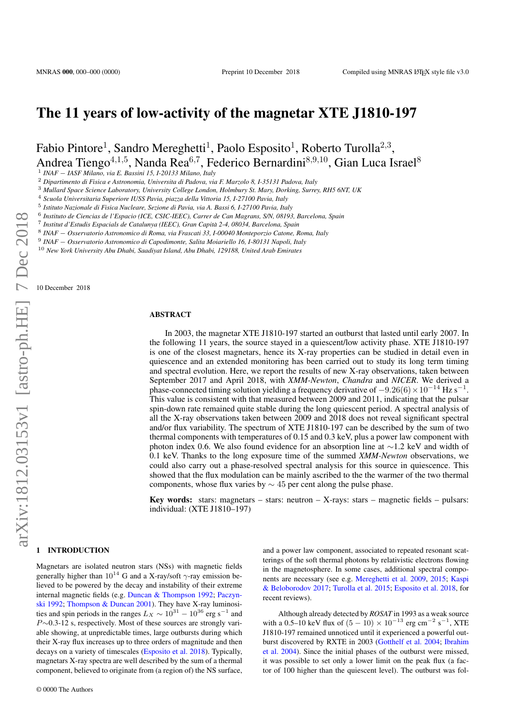# The 11 years of low-activity of the magnetar XTE J1810-197

Fabio Pintore<sup>1</sup>, Sandro Mereghetti<sup>1</sup>, Paolo Esposito<sup>1</sup>, Roberto Turolla<sup>2,3</sup>, Andrea Tiengo<sup>4,1,5</sup>, Nanda Rea<sup>6,7</sup>, Federico Bernardini<sup>8,9,10</sup>, Gian Luca Israel<sup>8</sup>

1 *INAF* − *IASF Milano, via E. Bassini 15, I-20133 Milano, Italy*

<sup>2</sup> *Dipartimento di Fisica e Astronomia, Universita di Padova, via F. Marzolo 8, I-35131 Padova, Italy*

<sup>3</sup> *Mullard Space Science Laboratory, University College London, Holmbury St. Mary, Dorking, Surrey, RH5 6NT, UK*

<sup>4</sup> *Scuola Universitaria Superiore IUSS Pavia, piazza della Vittoria 15, I-27100 Pavia, Italy*

5 *Istituto Nazionale di Fisica Nucleare, Sezione di Pavia, via A. Bassi 6, I-27100 Pavia, Italy*

6 *Instituto de Ciencias de l'Espacio (ICE, CSIC-IEEC), Carrer de Can Magrans, S/N, 08193, Barcelona, Spain*

7 *Institut d'Estudis Espacials de Catalunya (IEEC), Gran Capita 2-4, 08034, Barcelona, Spain `*

8 *INAF* − *Osservatorio Astronomico di Roma, via Frascati 33, I-00040 Monteporzio Catone, Roma, Italy*

9 *INAF* − *Osservatorio Astronomico di Capodimonte, Salita Moiariello 16, I-80131 Napoli, Italy*

<sup>10</sup> *New York University Abu Dhabi, Saadiyat Island, Abu Dhabi, 129188, United Arab Emirates*

10 December 2018

#### ABSTRACT

In 2003, the magnetar XTE J1810-197 started an outburst that lasted until early 2007. In the following 11 years, the source stayed in a quiescent/low activity phase. XTE J1810-197 is one of the closest magnetars, hence its X-ray properties can be studied in detail even in quiescence and an extended monitoring has been carried out to study its long term timing and spectral evolution. Here, we report the results of new X-ray observations, taken between September 2017 and April 2018, with *XMM-Newton*, *Chandra* and *NICER*. We derived a phase-connected timing solution yielding a frequency derivative of  $-9.26(6) \times 10^{-14}$  Hz s<sup>-1</sup>. This value is consistent with that measured between 2009 and 2011, indicating that the pulsar spin-down rate remained quite stable during the long quiescent period. A spectral analysis of all the X-ray observations taken between 2009 and 2018 does not reveal significant spectral and/or flux variability. The spectrum of XTE J1810-197 can be described by the sum of two thermal components with temperatures of 0.15 and 0.3 keV, plus a power law component with photon index 0.6. We also found evidence for an absorption line at ∼1.2 keV and width of 0.1 keV. Thanks to the long exposure time of the summed *XMM-Newton* observations, we could also carry out a phase-resolved spectral analysis for this source in quiescence. This showed that the flux modulation can be mainly ascribed to the the warmer of the two thermal components, whose flux varies by  $\sim$  45 per cent along the pulse phase.

Key words: stars: magnetars – stars: neutron – X-rays: stars – magnetic fields – pulsars: individual: (XTE J1810–197)

# 1 INTRODUCTION

Magnetars are isolated neutron stars (NSs) with magnetic fields generally higher than  $10^{14}$  G and a X-ray/soft  $\gamma$ -ray emission believed to be powered by the decay and instability of their extreme internal magnetic fields (e.g. [Duncan & Thompson](#page-5-0) [1992;](#page-5-0) [Paczyn](#page-6-0)[ski](#page-6-0) [1992;](#page-6-0) [Thompson & Duncan](#page-6-1) [2001\)](#page-6-1). They have X-ray luminosities and spin periods in the ranges  $L_X \sim 10^{31} - 10^{36}$  erg s<sup>-1</sup> and P∼0.3-12 s, respectively. Most of these sources are strongly variable showing, at unpredictable times, large outbursts during which their X-ray flux increases up to three orders of magnitude and then decays on a variety of timescales [\(Esposito et al.](#page-5-1) [2018\)](#page-5-1). Typically, magnetars X-ray spectra are well described by the sum of a thermal component, believed to originate from (a region of) the NS surface,

and a power law component, associated to repeated resonant scatterings of the soft thermal photons by relativistic electrons flowing in the magnetosphere. In some cases, additional spectral components are necessary (see e.g. [Mereghetti et al.](#page-6-2) [2009,](#page-6-2) [2015;](#page-6-3) [Kaspi](#page-6-4) [& Beloborodov](#page-6-4) [2017;](#page-6-4) [Turolla et al.](#page-6-5) [2015;](#page-6-5) [Esposito et al.](#page-5-1) [2018,](#page-5-1) for recent reviews).

Although already detected by *ROSAT* in 1993 as a weak source with a 0.5–10 keV flux of  $(5 - 10) \times 10^{-13}$  erg cm<sup>-2</sup> s<sup>-1</sup>, XTE J1810-197 remained unnoticed until it experienced a powerful outburst discovered by RXTE in 2003 [\(Gotthelf et al.](#page-5-2) [2004;](#page-5-2) [Ibrahim](#page-6-6) [et al.](#page-6-6) [2004\)](#page-6-6). Since the initial phases of the outburst were missed, it was possible to set only a lower limit on the peak flux (a factor of 100 higher than the quiescent level). The outburst was fol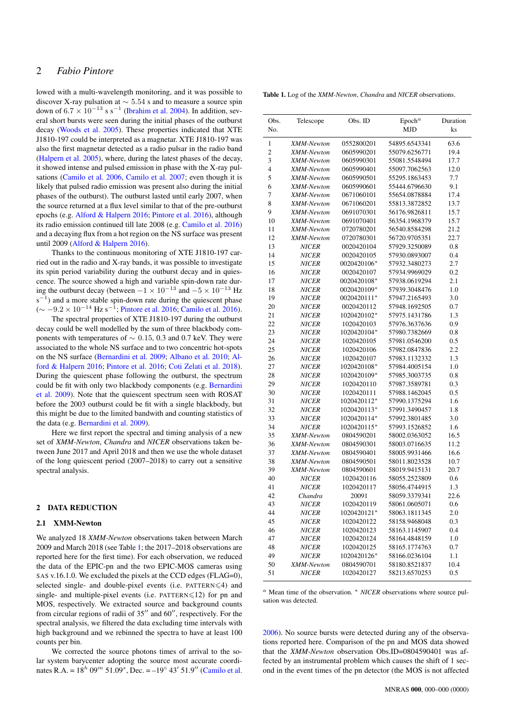lowed with a multi-wavelength monitoring, and it was possible to discover X-ray pulsation at  $\sim$  5.54 s and to measure a source spin down of  $6.7 \times 10^{-13}$  s s<sup>-1</sup> [\(Ibrahim et al.](#page-6-6) [2004\)](#page-6-6). In addition, several short bursts were seen during the initial phases of the outburst decay [\(Woods et al.](#page-6-7) [2005\)](#page-6-7). These properties indicated that XTE J1810-197 could be interpreted as a magnetar. XTE J1810-197 was also the first magnetar detected as a radio pulsar in the radio band [\(Halpern et al.](#page-5-3) [2005\)](#page-5-3), where, during the latest phases of the decay, it showed intense and pulsed emission in phase with the X-ray pulsations [\(Camilo et al.](#page-5-4) [2006,](#page-5-4) [Camilo et al.](#page-5-5) [2007;](#page-5-5) even though it is likely that pulsed radio emission was present also during the initial phases of the outburst). The outburst lasted until early 2007, when the source returned at a flux level similar to that of the pre-outburst epochs (e.g. [Alford & Halpern](#page-5-6) [2016;](#page-5-6) [Pintore et al.](#page-6-8) [2016\)](#page-6-8), although its radio emission continued till late 2008 (e.g. [Camilo et al.](#page-5-7) [2016\)](#page-5-7) and a decaying flux from a hot region on the NS surface was present until 2009 [\(Alford & Halpern](#page-5-6) [2016\)](#page-5-6).

Thanks to the continuous monitoring of XTE J1810-197 carried out in the radio and X-ray bands, it was possible to investigate its spin period variability during the outburst decay and in quiescence. The source showed a high and variable spin-down rate during the outburst decay (between  $-1 \times 10^{-13}$  and  $-5 \times 10^{-13}$  Hz  $s^{-1}$  $^{1}$ ) and a more stable spin-down rate during the quiescent phase  $($  ~  $-9.2 \times 10^{-14}$  Hz s<sup>-1</sup>; [Pintore et al.](#page-6-8) [2016;](#page-6-8) [Camilo et al.](#page-5-7) [2016\)](#page-5-7).

The spectral properties of XTE J1810-197 during the outburst decay could be well modelled by the sum of three blackbody components with temperatures of  $\sim 0.15, 0.3$  and 0.7 keV. They were associated to the whole NS surface and to two concentric hot-spots on the NS surface [\(Bernardini et al.](#page-5-8) [2009;](#page-5-8) [Albano et al.](#page-5-9) [2010;](#page-5-9) [Al](#page-5-6)[ford & Halpern](#page-5-6) [2016;](#page-5-6) [Pintore et al.](#page-6-8) [2016;](#page-6-8) [Coti Zelati et al.](#page-5-10) [2018\)](#page-5-10). During the quiescent phase following the outburst, the spectrum could be fit with only two blackbody components (e.g. [Bernardini](#page-5-11) [et al.](#page-5-11) [2009\)](#page-5-11). Note that the quiescent spectrum seen with ROSAT before the 2003 outburst could be fit with a single blackbody, but this might be due to the limited bandwith and counting statistics of the data (e.g. [Bernardini et al.](#page-5-11) [2009\)](#page-5-11).

Here we first report the spectral and timing analysis of a new set of *XMM-Newton*, *Chandra* and *NICER* observations taken between June 2017 and April 2018 and then we use the whole dataset of the long quiescent period (2007–2018) to carry out a sensitive spectral analysis.

#### 2 DATA REDUCTION

### 2.1 XMM-Newton

We analyzed 18 *XMM-Newton* observations taken between March 2009 and March 2018 (see Table [1;](#page-1-0) the 2017–2018 observations are reported here for the first time). For each observation, we reduced the data of the EPIC-pn and the two EPIC-MOS cameras using SAS v.16.1.0. We excluded the pixels at the CCD edges (FLAG=0), selected single- and double-pixel events (i.e. PATTERN  $\leq 4$ ) and single- and multiple-pixel events (i.e.  $PATH$ ERN $\leq$ 12) for pn and MOS, respectively. We extracted source and background counts from circular regions of radii of  $35^{\prime\prime}$  and  $60^{\prime\prime}$ , respectively. For the spectral analysis, we filtered the data excluding time intervals with high background and we rebinned the spectra to have at least 100 counts per bin.

We corrected the source photons times of arrival to the solar system barycenter adopting the source most accurate coordinates R.A. =  $18^h$  09<sup>m</sup> 51.09<sup>s</sup>, Dec. =  $-19^\circ$  43' 51.9" [\(Camilo et al.](#page-5-4)

<span id="page-1-0"></span>Table 1. Log of the *XMM-Newton*, *Chandra* and *NICER* observations.

| Obs.<br>No.    | Telescope    | Obs. ID     | Epoch <sup>a</sup><br><b>MJD</b> | Duration<br>ks |
|----------------|--------------|-------------|----------------------------------|----------------|
| 1              | XMM-Newton   | 0552800201  | 54895.6543341                    | 63.6           |
| $\mathfrak{2}$ | XMM-Newton   | 0605990201  | 55079.6256771                    | 19.4           |
| 3              | XMM-Newton   | 0605990301  | 55081.5548494                    | 17.7           |
| $\overline{4}$ | XMM-Newton   | 0605990401  | 55097.7062563                    | 12.0           |
| 5              | XMM-Newton   | 0605990501  | 55295.1863453                    | 7.7            |
| 6              | XMM-Newton   | 0605990601  | 55444.6796630                    | 9.1            |
| 7              | XMM-Newton   | 0671060101  | 55654.0878884                    | 17.4           |
| 8              | XMM-Newton   | 0671060201  | 55813.3872852                    | 13.7           |
| 9              | XMM-Newton   | 0691070301  | 56176.9826811                    | 15.7           |
| 10             | XMM-Newton   | 0691070401  | 56354.1968379                    | 15.7           |
| 11             | XMM-Newton   | 0720780201  | 56540.8584298                    | 21.2           |
| 12             | XMM-Newton   | 0720780301  | 56720.9705351                    | 22.7           |
| 13             | <i>NICER</i> | 0020420104  | 57929.3250089                    | 0.8            |
| 14             | <i>NICER</i> | 0020420105  | 57930.0893007                    | 0.4            |
| 15             | <i>NICER</i> | 0020420106* | 57932.3480273                    | 2.7            |
| 16             | <i>NICER</i> | 0020420107  | 57934.9969029                    | 0.2            |
| 17             | <i>NICER</i> | 0020420108* | 57938.0619294                    | 2.1            |
| 18             | <i>NICER</i> | 0020420109* | 57939.3048476                    | 1.0            |
| 19             | <b>NICER</b> | 0020420111* | 57947.2165493                    | 3.0            |
| 20             | <i>NICER</i> | 0020420112  | 57948.1692505                    | 0.7            |
| 21             | <b>NICER</b> | 1020420102* | 57975.1431786                    | 1.3            |
| 22             | <i>NICER</i> | 1020420103  | 57976.3637636                    | 0.9            |
| 23             | <i>NICER</i> | 1020420104* | 57980.7382669                    | 0.8            |
| 24             | <i>NICER</i> | 1020420105  | 57981.0546200                    | 0.5            |
| 25             | <i>NICER</i> | 1020420106  | 57982.0847836                    | 2.2            |
| 26             | <i>NICER</i> | 1020420107  | 57983.1132332                    | 1.3            |
| 27             | <i>NICER</i> | 1020420108* | 57984.4005154                    | 1.0            |
| 28             | <i>NICER</i> | 1020420109* | 57985.3003735                    | 0.8            |
| 29             | <i>NICER</i> | 1020420110  | 57987.3589781                    | 0.3            |
| 30             | <i>NICER</i> | 1020420111  | 57988.1462045                    | 0.5            |
| 31             | <i>NICER</i> | 1020420112* | 57990.1375294                    | 1.6            |
| 32             | <i>NICER</i> | 1020420113* | 57991.3490457                    | 1.8            |
| 33             | <i>NICER</i> | 1020420114* | 57992.3801485                    | 3.0            |
| 34             | <i>NICER</i> | 1020420115* | 57993.1526852                    | 1.6            |
| 35             | XMM-Newton   | 0804590201  | 58002.0363052                    | 16.5           |
| 36             | XMM-Newton   | 0804590301  | 58003.0716635                    | 11.2           |
| 37             | XMM-Newton   | 0804590401  | 58005.9931466                    | 16.6           |
| 38             | XMM-Newton   | 0804590501  | 58011.8023528                    | 10.7           |
| 39             | XMM-Newton   | 0804590601  | 58019.9415131                    | 20.7           |
| 40             | <i>NICER</i> | 1020420116  | 58055.2523809                    | 0.6            |
| 41             | <i>NICER</i> | 1020420117  | 58056.4744915                    | 1.3            |
| 42             | Chandra      | 20091       | 58059.3379341                    | 22.6           |
| 43             | <b>NICER</b> | 1020420119  | 58061.0605071                    | 0.6            |
| 44             | <i>NICER</i> | 1020420121* | 58063.1811345                    | 2.0            |
| 45             | <b>NICER</b> | 1020420122  | 58158.9468048                    | 0.3            |
| 46             | <b>NICER</b> | 1020420123  | 58163.1145907                    | 0.4            |
| 47             | <i>NICER</i> | 1020420124  | 58164.4848159                    | 1.0            |
| 48             | <b>NICER</b> | 1020420125  | 58165.1774763                    | 0.7            |
| 49             | <i>NICER</i> | 1020420126* | 58166.0236104                    | 1.1            |
| 50             | XMM-Newton   | 0804590701  | 58180.8521837                    | 10.4           |
| 51             | <i>NICER</i> | 1020420127  | 58213.6570253                    | 0.5            |

<sup>a</sup> Mean time of the observation. <sup>∗</sup> *NICER* observations where source pulsation was detected.

[2006\)](#page-5-4). No source bursts were detected during any of the observations reported here. Comparison of the pn and MOS data showed that the *XMM-Newton* observation Obs.ID=0804590401 was affected by an instrumental problem which causes the shift of 1 second in the event times of the pn detector (the MOS is not affected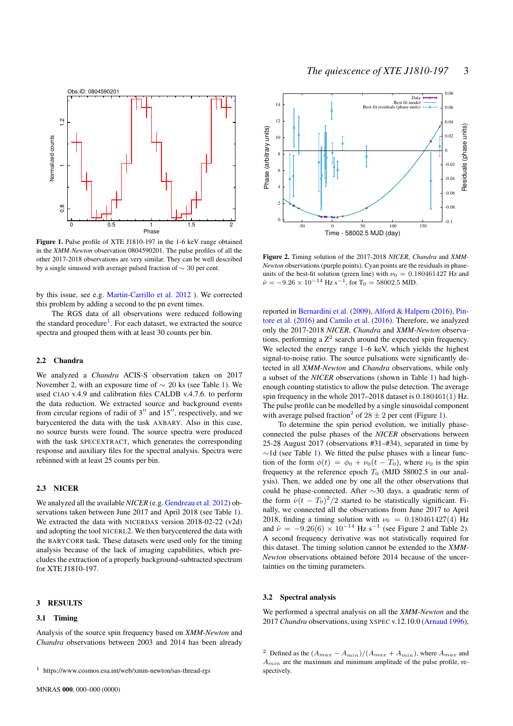

Figure 1. Pulse profile of XTE J1810-197 in the 1-6 keV range obtained in the *XMM-Newton* observation 0804590201. The pulse profiles of all the other 2017-2018 observations are very similar. They can be well described by a single sinusoid with average pulsed fraction of ∼ 30 per cent.

by this issue, see e.g. [Martin-Carrillo et al.](#page-6-9) [2012](#page-6-9) ). We corrected this problem by adding a second to the pn event times.

The RGS data of all observations were reduced following the standard procedure<sup>[1](#page-2-0)</sup>. For each dataset, we extracted the source spectra and grouped them with at least 30 counts per bin.

#### 2.2 Chandra

We analyzed a *Chandra* ACIS-S observation taken on 2017 November 2, with an exposure time of  $\sim$  20 ks (see Table [1\)](#page-1-0). We used CIAO v.4.9 and calibration files CALDB v.4.7.6. to perform the data reduction. We extracted source and background events from circular regions of radii of  $3''$  and  $15''$ , respectively, and we barycentered the data with the task AXBARY. Also in this case, no source bursts were found. The source spectra were produced with the task SPECEXTRACT, which generates the corresponding response and auxiliary files for the spectral analysis. Spectra were rebinned with at least 25 counts per bin.

#### 2.3 NICER

We analyzed all the available *NICER* (e.g. [Gendreau et al.](#page-5-12) [2012\)](#page-5-12) observations taken between June 2017 and April 2018 (see Table [1\)](#page-1-0). We extracted the data with NICERDAS version 2018-02-22 (v2d) and adopting the tool NICERL2. We then barycentered the data with the BARYCORR task. These datasets were used only for the timing analysis because of the lack of imaging capabilities, which precludes the extraction of a properly background-subtracted spectrum for XTE J1810-197.

#### 3 RESULTS

#### 3.1 Timing

Analysis of the source spin frequency based on *XMM-Newton* and *Chandra* observations between 2003 and 2014 has been already

<span id="page-2-2"></span>

<span id="page-2-3"></span>Figure 2. Timing solution of the 2017-2018 *NICER*, *Chandra* and *XMM-Newton* observations (purple points). Cyan points are the residuals in phaseunits of the best-fit solution (green line) with  $\nu_0 = 0.180461427$  Hz and  $\dot{\nu} = -9.26 \times 10^{-14}$  Hz s<sup>-1</sup>, for T<sub>0</sub> = 58002.5 MJD.

reported in [Bernardini et al.](#page-5-11) [\(2009\)](#page-5-11), [Alford & Halpern](#page-5-6) [\(2016\)](#page-5-6), [Pin](#page-6-8)[tore et al.](#page-6-8) [\(2016\)](#page-6-8) and [Camilo et al.](#page-5-7) [\(2016\)](#page-5-7). Therefore, we analyzed only the 2017-2018 *NICER*, *Chandra* and *XMM-Newton* observations, performing a  $Z^2$  search around the expected spin frequency. We selected the energy range 1–6 keV, which yields the highest signal-to-noise ratio. The source pulsations were significantly detected in all *XMM-Newton* and *Chandra* observations, while only a subset of the *NICER* observations (shown in Table [1\)](#page-1-0) had highenough counting statistics to allow the pulse detection. The average spin frequency in the whole 2017–2018 dataset is 0.180461(1) Hz. The pulse profile can be modelled by a single sinusoidal component with average pulsed fraction<sup>[2](#page-2-1)</sup> of  $28 \pm 2$  per cent (Figure [1\)](#page-2-2).

To determine the spin period evolution, we initially phaseconnected the pulse phases of the *NICER* observations between 25-28 August 2017 (observations #31–#34), separated in time by ∼1d (see Table [1\)](#page-1-0). We fitted the pulse phases with a linear function of the form  $\phi(t) = \phi_0 + \nu_0(t - T_0)$ , where  $\nu_0$  is the spin frequency at the reference epoch  $T_0$  (MJD 58002.5 in our analysis). Then, we added one by one all the other observations that could be phase-connected. After ∼30 days, a quadratic term of the form  $\dot{\nu}(t - T_0)^2/2$  started to be statistically significant. Finally, we connected all the observations from June 2017 to April 2018, finding a timing solution with  $\nu_0 = 0.180461427(4)$  Hz and  $\dot{\nu} = -9.26(6) \times 10^{-14}$  $\dot{\nu} = -9.26(6) \times 10^{-14}$  $\dot{\nu} = -9.26(6) \times 10^{-14}$  Hz s<sup>-1</sup> (see Figure 2 and Table [2\)](#page-3-0). A second frequency derivative was not statistically required for this dataset. The timing solution cannot be extended to the *XMM-Newton* observations obtained before 2014 because of the uncertainties on the timing parameters.

#### 3.2 Spectral analysis

We performed a spectral analysis on all the *XMM-Newton* and the 2017 *Chandra* observations, using XSPEC v.12.10.0 [\(Arnaud](#page-5-13) [1996\)](#page-5-13),

<span id="page-2-0"></span><sup>1</sup> https://www.cosmos.esa.int/web/xmm-newton/sas-thread-rgs

<span id="page-2-1"></span><sup>&</sup>lt;sup>2</sup> Defined as the  $(A_{max} - A_{min})/(A_{max} + A_{min})$ , where  $A_{max}$  and  $A_{min}$  are the maximum and minimum amplitude of the pulse profile, respectively.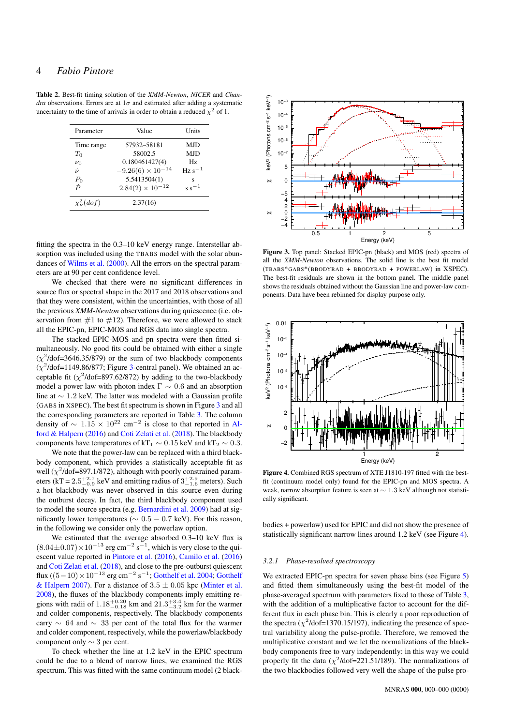# 4 *Fabio Pintore*

<span id="page-3-0"></span>Table 2. Best-fit timing solution of the *XMM-Newton*, *NICER* and *Chandra* observations. Errors are at  $1\sigma$  and estimated after adding a systematic uncertainty to the time of arrivals in order to obtain a reduced  $\chi^2$  of 1.

| Parameter             | Value                      | Units             |
|-----------------------|----------------------------|-------------------|
| Time range            | 57932-58181                | MJD               |
| $T_0$                 | 58002.5                    | <b>MJD</b>        |
| $\nu_0$               | 0.180461427(4)             | Hz.               |
| i.                    | $-9.26(6) \times 10^{-14}$ | $\rm Hz \ s^{-1}$ |
| $\frac{P_0}{\dot{P}}$ | 5.5413504(1)               | s                 |
|                       | $2.84(2) \times 10^{-12}$  | $s s^{-1}$        |
| $\chi^2_\nu(dof)$     | 2.37(16)                   |                   |

fitting the spectra in the 0.3–10 keV energy range. Interstellar absorption was included using the TBABS model with the solar abundances of [Wilms et al.](#page-6-10) [\(2000\)](#page-6-10). All the errors on the spectral parameters are at 90 per cent confidence level.

We checked that there were no significant differences in source flux or spectral shape in the 2017 and 2018 observations and that they were consistent, within the uncertainties, with those of all the previous *XMM-Newton* observations during quiescence (i.e. observation from  $#1$  to  $#12$ ). Therefore, we were allowed to stack all the EPIC-pn, EPIC-MOS and RGS data into single spectra.

The stacked EPIC-MOS and pn spectra were then fitted simultaneously. No good fits could be obtained with either a single  $(\chi^2/\text{dof} = 3646.35/879)$  or the sum of two blackbody components  $(\chi^2/\text{dof} = 1149.86/877)$ ; Figure [3-](#page-3-1)central panel). We obtained an acceptable fit ( $\chi^2$ /dof=897.62/872) by adding to the two-blackbody model a power law with photon index  $\Gamma \sim 0.6$  and an absorption line at ∼ 1.2 keV. The latter was modeled with a Gaussian profile (GABS in XSPEC). The best fit spectrum is shown in Figure [3](#page-3-1) and all the corresponding parameters are reported in Table [3.](#page-4-0) The column density of  $\sim 1.15 \times 10^{22}$  cm<sup>-2</sup> is close to that reported in [Al](#page-5-6)[ford & Halpern](#page-5-6) [\(2016\)](#page-5-6) and [Coti Zelati et al.](#page-5-10) [\(2018\)](#page-5-10). The blackbody components have temperatures of kT<sub>1</sub>  $\sim 0.15$  keV and kT<sub>2</sub>  $\sim 0.3$ .

We note that the power-law can be replaced with a third blackbody component, which provides a statistically acceptable fit as well ( $\chi^2$ /dof=897.1/872), although with poorly constrained parameters (kT =  $2.5^{+2.7}_{-0.9}$  keV and emitting radius of  $3^{+2.9}_{-1.6}$  meters). Such a hot blackbody was never observed in this source even during the outburst decay. In fact, the third blackbody component used to model the source spectra (e.g. [Bernardini et al.](#page-5-11) [2009\)](#page-5-11) had at significantly lower temperatures ( $\sim 0.5 - 0.7$  keV). For this reason, in the following we consider only the powerlaw option.

We estimated that the average absorbed 0.3–10 keV flux is  $(8.04\pm0.07)\times10^{-13}$  erg cm<sup>-2</sup> s<sup>-1</sup>, which is very close to the quiescent value reported in [Pintore et al.](#page-6-8) [\(2016\)](#page-6-8), [Camilo et al.](#page-5-7) [\(2016\)](#page-5-7) and [Coti Zelati et al.](#page-5-10) [\(2018\)](#page-5-10), and close to the pre-outburst quiescent flux ((5 – 10) ×  $10^{-13}$  erg cm<sup>-2</sup> s<sup>-1</sup>; [Gotthelf et al.](#page-5-2) [2004;](#page-5-2) [Gotthelf](#page-5-14) [& Halpern](#page-5-14) [2007\)](#page-5-14). For a distance of  $3.5 \pm 0.05$  kpc [\(Minter et al.](#page-6-11) [2008\)](#page-6-11), the fluxes of the blackbody components imply emitting regions with radii of  $1.18^{+0.20}_{-0.18}$  km and  $21.3^{+3.4}_{-3.2}$  km for the warmer and colder components, respectively. The blackbody components carry ∼ 64 and ∼ 33 per cent of the total flux for the warmer and colder component, respectively, while the powerlaw/blackbody component only ∼ 3 per cent. No encorrelate the spectrum is the same continuum model after adding a systematic formula model with the same continuum model (2 black-<br>
The spectrum model with the same continuum model (2 black-<br>
The same continuum model

To check whether the line at 1.2 keV in the EPIC spectrum could be due to a blend of narrow lines, we examined the RGS

<span id="page-3-1"></span>

Figure 3. Top panel: Stacked EPIC-pn (black) and MOS (red) spectra of all the *XMM-Newton* observations. The solid line is the best fit model (TBABS\*GABS\*(BBODYRAD + BBODYRAD + POWERLAW) in XSPEC). The best-fit residuals are shown in the bottom panel. The middle panel shows the residuals obtained without the Gaussian line and power-law components. Data have been rebinned for display purpose only.

<span id="page-3-2"></span>

Figure 4. Combined RGS spectrum of XTE J1810-197 fitted with the bestfit (continuum model only) found for the EPIC-pn and MOS spectra. A weak, narrow absorption feature is seen at ∼ 1.3 keV although not statistically significant.

bodies + powerlaw) used for EPIC and did not show the presence of statistically significant narrow lines around 1.2 keV (see Figure [4\)](#page-3-2).

#### *3.2.1 Phase-resolved spectroscopy*

We extracted EPIC-pn spectra for seven phase bins (see Figure [5\)](#page-4-1) and fitted them simultaneously using the best-fit model of the phase-averaged spectrum with parameters fixed to those of Table [3,](#page-4-0) with the addition of a multiplicative factor to account for the different flux in each phase bin. This is clearly a poor reproduction of the spectra ( $\chi^2$ /dof=1370.15/197), indicating the presence of spectral variability along the pulse-profile. Therefore, we removed the multiplicative constant and we let the normalizations of the blackbody components free to vary independently: in this way we could properly fit the data ( $\chi^2$ /dof=221.51/189). The normalizations of the two blackbodies followed very well the shape of the pulse pro-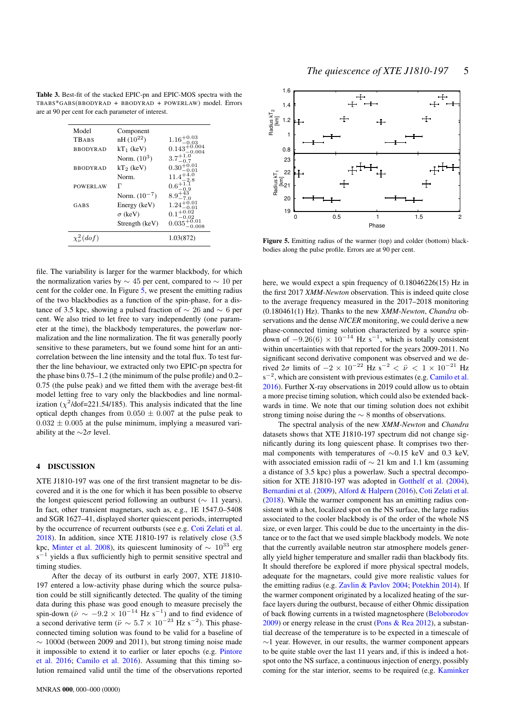<span id="page-4-0"></span>Table 3. Best-fit of the stacked EPIC-pn and EPIC-MOS spectra with the TBABS\*GABS(BBODYRAD + BBODYRAD + POWERLAW) model. Errors are at 90 per cent for each parameter of interest.

| Model             | Component         |                           |
|-------------------|-------------------|---------------------------|
| TBABS             | $nH (10^{22})$    | $1.16^{+0.03}_{-0.03}$    |
| <b>BBODYRAD</b>   | $kT_1$ (keV)      | $0.143_{-0.004}^{+0.004}$ |
|                   | Norm. $(10^3)$    | $3.7^{+1.0}_{-0.7}$       |
| <b>BBODYRAD</b>   | $kT_2$ (keV)      | $0.30^{+0.01}_{-0.01}$    |
|                   | Norm.             | $11.4_{\circ}^{+4}$       |
| <b>POWERLAW</b>   | г                 | $0.6^{+1}$                |
|                   | Norm. $(10^{-7})$ | $8.9^{+43}_{-7.0}$        |
| GABS              | Energy (keV)      | $1.24_{-8.81}^{+0.01}$    |
|                   | $\sigma$ (keV)    | $0.1^{+0.0}_{-0.0}$       |
|                   | Strength (keV)    | $0.035^{+0.01}_{-0.001}$  |
| $\chi^2_\nu(dof)$ |                   | 1.03(872)                 |
|                   |                   |                           |

file. The variability is larger for the warmer blackbody, for which the normalization varies by  $\sim$  45 per cent, compared to  $\sim$  10 per cent for the colder one. In Figure [5,](#page-4-1) we present the emitting radius of the two blackbodies as a function of the spin-phase, for a distance of 3.5 kpc, showing a pulsed fraction of  $\sim$  26 and  $\sim$  6 per cent. We also tried to let free to vary independently (one parameter at the time), the blackbody temperatures, the powerlaw normalization and the line normalization. The fit was generally poorly sensitive to these parameters, but we found some hint for an anticorrelation between the line intensity and the total flux. To test further the line behaviour, we extracted only two EPIC-pn spectra for the phase bins 0.75–1.2 (the minimum of the pulse profile) and 0.2– 0.75 (the pulse peak) and we fitted them with the average best-fit model letting free to vary only the blackbodies and line normalization ( $\chi^2$ /dof=221.54/185). This analysis indicated that the line optical depth changes from  $0.050 \pm 0.007$  at the pulse peak to  $0.032 \pm 0.005$  at the pulse minimum, implying a measured variability at the  $\sim$ 2 $\sigma$  level.

# 4 DISCUSSION

XTE J1810-197 was one of the first transient magnetar to be discovered and it is the one for which it has been possible to observe the longest quiescent period following an outburst (∼ 11 years). In fact, other transient magnetars, such as, e.g., 1E 1547.0–5408 and SGR 1627–41, displayed shorter quiescent periods, interrupted by the occurrence of recurrent outbursts (see e.g. [Coti Zelati et al.](#page-5-10) [2018\)](#page-5-10). In addition, since XTE J1810-197 is relatively close (3.5 kpc, [Minter et al.](#page-6-11) [2008\)](#page-6-11), its quiescent luminosity of  $\sim 10^{33}$  erg  $s^{-1}$  yields a flux sufficiently high to permit sensitive spectral and timing studies.

After the decay of its outburst in early 2007, XTE J1810- 197 entered a low-activity phase during which the source pulsation could be still significantly detected. The quality of the timing data during this phase was good enough to measure precisely the spin-down ( $\dot{\nu} \sim -9.2 \times 10^{-14}$  Hz s<sup>-1</sup>) and to find evidence of a second derivative term ( $\ddot{\nu} \sim 5.7 \times 10^{-23}$  Hz s<sup>-2</sup>). This phaseconnected timing solution was found to be valid for a baseline of  $\sim$  1000d (between 2009 and 2011), but strong timing noise made it impossible to extend it to earlier or later epochs (e.g. [Pintore](#page-6-8) [et al.](#page-6-8) [2016;](#page-6-8) [Camilo et al.](#page-5-7) [2016\)](#page-5-7). Assuming that this timing solution remained valid until the time of the observations reported



<span id="page-4-1"></span>Figure 5. Emitting radius of the warmer (top) and colder (bottom) blackbodies along the pulse profile. Errors are at 90 per cent.

here, we would expect a spin frequency of 0.18046226(15) Hz in the first 2017 *XMM-Newton* observation. This is indeed quite close to the average frequency measured in the 2017–2018 monitoring (0.180461(1) Hz). Thanks to the new *XMM-Newton*, *Chandra* observations and the dense *NICER* monitoring, we could derive a new phase-connected timing solution characterized by a source spindown of  $-9.26(6) \times 10^{-14}$  Hz s<sup>-1</sup>, which is totally consistent within uncertainties with that reported for the years 2009-2011. No significant second derivative component was observed and we derived  $2\sigma$  limits of  $-2 \times 10^{-22}$  Hz s<sup>-2</sup>  $\lt \ddot{\nu} \lt 1 \times 10^{-21}$  Hz  $s^{-2}$ , which are consistent with previous estimates (e.g. [Camilo et al.](#page-5-7) [2016\)](#page-5-7). Further X-ray observations in 2019 could allow us to obtain a more precise timing solution, which could also be extended backwards in time. We note that our timing solution does not exhibit strong timing noise during the  $\sim$  8 months of observations.

The spectral analysis of the new *XMM-Newton* and *Chandra* datasets shows that XTE J1810-197 spectrum did not change significantly during its long quiescent phase. It comprises two thermal components with temperatures of ∼0.15 keV and 0.3 keV, with associated emission radii of  $\sim$  21 km and 1.1 km (assuming a distance of 3.5 kpc) plus a powerlaw. Such a spectral decomposition for XTE J1810-197 was adopted in [Gotthelf et al.](#page-5-2) [\(2004\)](#page-5-2), [Bernardini et al.](#page-5-11) [\(2009\)](#page-5-11), [Alford & Halpern](#page-5-6) [\(2016\)](#page-5-6), [Coti Zelati et al.](#page-5-10) [\(2018\)](#page-5-10). While the warmer component has an emitting radius consistent with a hot, localized spot on the NS surface, the large radius associated to the cooler blackbody is of the order of the whole NS size, or even larger. This could be due to the uncertainty in the distance or to the fact that we used simple blackbody models. We note that the currently available neutron star atmosphere models generally yield higher temperature and smaller radii than blackbody fits. It should therefore be explored if more physical spectral models, adequate for the magnetars, could give more realistic values for the emitting radius (e.g. [Zavlin & Pavlov](#page-6-12) [2004;](#page-6-12) [Potekhin](#page-6-13) [2014\)](#page-6-13). If the warmer component originated by a localized heating of the surface layers during the outburst, because of either Ohmic dissipation of back flowing currents in a twisted magnetosphere [\(Beloborodov](#page-5-15) [2009\)](#page-5-15) or energy release in the crust [\(Pons & Rea](#page-6-14) [2012\)](#page-6-14), a substantial decrease of the temperature is to be expected in a timescale of  $\sim$ 1 year. However, in our results, the warmer component appears to be quite stable over the last 11 years and, if this is indeed a hotspot onto the NS surface, a continuous injection of energy, possibly coming for the star interior, seems to be required (e.g. [Kaminker](#page-6-15)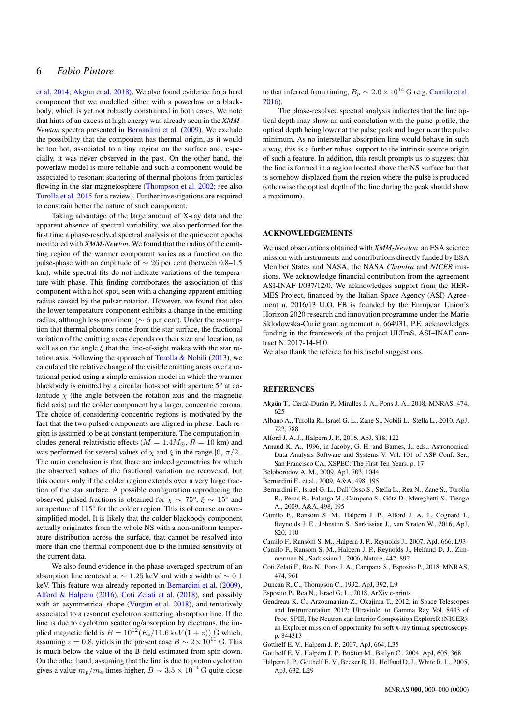# 6 *Fabio Pintore*

[et al.](#page-6-15) [2014;](#page-6-15) Akgün et al. [2018\)](#page-5-16). We also found evidence for a hard component that we modelled either with a powerlaw or a blackbody, which is yet not robustly constrained in both cases. We note that hints of an excess at high energy was already seen in the *XMM-Newton* spectra presented in [Bernardini et al.](#page-5-11) [\(2009\)](#page-5-11). We exclude the possibility that the component has thermal origin, as it would be too hot, associated to a tiny region on the surface and, especially, it was never observed in the past. On the other hand, the powerlaw model is more reliable and such a component would be associated to resonant scattering of thermal photons from particles flowing in the star magnetosphere [\(Thompson et al.](#page-6-16) [2002;](#page-6-16) see also [Turolla et al.](#page-6-5) [2015](#page-6-5) for a review). Further investigations are required to constrain better the nature of such component.

Taking advantage of the large amount of X-ray data and the apparent absence of spectral variability, we also performed for the first time a phase-resolved spectral analysis of the quiescent epochs monitored with *XMM-Newton*. We found that the radius of the emitting region of the warmer component varies as a function on the pulse-phase with an amplitude of ∼ 26 per cent (between 0.8–1.5 km), while spectral fits do not indicate variations of the temperature with phase. This finding corroborates the association of this component with a hot-spot, seen with a changing apparent emitting radius caused by the pulsar rotation. However, we found that also the lower temperature component exhibits a change in the emitting radius, although less prominent (∼ 6 per cent). Under the assumption that thermal photons come from the star surface, the fractional variation of the emitting areas depends on their size and location, as well as on the angle  $\xi$  that the line-of-sight makes with the star ro-tation axis. Following the approach of [Turolla & Nobili](#page-6-17) [\(2013\)](#page-6-17), we calculated the relative change of the visible emitting areas over a rotational period using a simple emission model in which the warmer blackbody is emitted by a circular hot-spot with aperture 5° at colatitude  $\chi$  (the angle between the rotation axis and the magnetic field axis) and the colder component by a larger, concentric corona. The choice of considering concentric regions is motivated by the fact that the two pulsed components are aligned in phase. Each region is assumed to be at constant temperature. The computation includes general-relativistic effects ( $M = 1.4 M_{\odot}$ ,  $R = 10$  km) and was performed for several values of  $\chi$  and  $\xi$  in the range [0,  $\pi/2$ ]. The main conclusion is that there are indeed geometries for which the observed values of the fractional variation are recovered, but this occurs only if the colder region extends over a very large fraction of the star surface. A possible configuration reproducing the observed pulsed fractions is obtained for  $\chi \sim 75^{\circ}, \xi \sim 15^{\circ}$  and an aperture of 115° for the colder region. This is of course an oversimplified model. It is likely that the colder blackbody component actually originates from the whole NS with a non-uniform temperature distribution across the surface, that cannot be resolved into more than one thermal component due to the limited sensitivity of the current data.

We also found evidence in the phase-averaged spectrum of an absorption line centered at  $\sim 1.25$  keV and with a width of  $\sim 0.1$ keV. This feature was already reported in [Bernardini et al.](#page-5-11) [\(2009\)](#page-5-11), [Alford & Halpern](#page-5-6) [\(2016\)](#page-5-6), [Coti Zelati et al.](#page-5-10) [\(2018\)](#page-5-10), and possibly with an asymmetrical shape [\(Vurgun et al.](#page-6-18) [2018\)](#page-6-18), and tentatively associated to a resonant cyclotron scattering absorption line. If the line is due to cyclotron scattering/absorption by electrons, the implied magnetic field is  $B = 10^{12} (E_c/11.6 \,\text{keV}(1+z))$  G which, assuming  $z = 0.8$ , yields in the present case  $B \sim 2 \times 10^{11}$  G. This is much below the value of the B-field estimated from spin-down. On the other hand, assuming that the line is due to proton cyclotron gives a value  $m_p/m_e$  times higher,  $B \sim 3.5 \times 10^{14}$  G quite close to that inferred from timing,  $B_p \sim 2.6 \times 10^{14}$  G (e.g. [Camilo et al.](#page-5-7) [2016\)](#page-5-7).

The phase-resolved spectral analysis indicates that the line optical depth may show an anti-correlation with the pulse-profile, the optical depth being lower at the pulse peak and larger near the pulse minimum. As no interstellar absorption line would behave in such a way, this is a further robust support to the intrinsic source origin of such a feature. In addition, this result prompts us to suggest that the line is formed in a region located above the NS surface but that is somehow displaced from the region where the pulse is produced (otherwise the optical depth of the line during the peak should show a maximum).

# ACKNOWLEDGEMENTS

We used observations obtained with *XMM-Newton* an ESA science mission with instruments and contributions directly funded by ESA Member States and NASA, the NASA *Chandra* and *NICER* missions. We acknowledge financial contribution from the agreement ASI-INAF I/037/12/0. We acknowledges support from the HER-MES Project, financed by the Italian Space Agency (ASI) Agreement n. 2016/13 U.O. FB is founded by the European Union's Horizon 2020 research and innovation programme under the Marie Sklodowska-Curie grant agreement n. 664931. P.E. acknowledges funding in the framework of the project ULTraS, ASI–INAF contract N. 2017-14-H.0.

We also thank the referee for his useful suggestions.

#### **REFERENCES**

- <span id="page-5-16"></span>Akgün T., Cerdá-Durán P., Miralles J. A., Pons J. A., 2018, MNRAS, 474, 625
- <span id="page-5-9"></span>Albano A., Turolla R., Israel G. L., Zane S., Nobili L., Stella L., 2010, ApJ, 722, 788
- <span id="page-5-6"></span>Alford J. A. J., Halpern J. P., 2016, ApJ, 818, 122
- <span id="page-5-13"></span>Arnaud K. A., 1996, in Jacoby, G. H. and Barnes, J., eds., Astronomical Data Analysis Software and Systems V. Vol. 101 of ASP Conf. Ser., San Francisco CA, XSPEC: The First Ten Years. p. 17
- <span id="page-5-15"></span>Beloborodov A. M., 2009, ApJ, 703, 1044
- <span id="page-5-8"></span>Bernardini F., et al., 2009, A&A, 498, 195
- <span id="page-5-11"></span>Bernardini F., Israel G. L., Dall'Osso S., Stella L., Rea N., Zane S., Turolla R., Perna R., Falanga M., Campana S., Götz D., Mereghetti S., Tiengo A., 2009, A&A, 498, 195
- <span id="page-5-7"></span>Camilo F., Ransom S. M., Halpern J. P., Alford J. A. J., Cognard I., Reynolds J. E., Johnston S., Sarkissian J., van Straten W., 2016, ApJ, 820, 110
- <span id="page-5-5"></span>Camilo F., Ransom S. M., Halpern J. P., Reynolds J., 2007, ApJ, 666, L93
- <span id="page-5-4"></span>Camilo F., Ransom S. M., Halpern J. P., Reynolds J., Helfand D. J., Zimmerman N., Sarkissian J., 2006, Nature, 442, 892
- <span id="page-5-10"></span>Coti Zelati F., Rea N., Pons J. A., Campana S., Esposito P., 2018, MNRAS, 474, 961
- <span id="page-5-0"></span>Duncan R. C., Thompson C., 1992, ApJ, 392, L9
- <span id="page-5-1"></span>Esposito P., Rea N., Israel G. L., 2018, ArXiv e-prints
- <span id="page-5-12"></span>Gendreau K. C., Arzoumanian Z., Okajima T., 2012, in Space Telescopes and Instrumentation 2012: Ultraviolet to Gamma Ray Vol. 8443 of Proc. SPIE, The Neutron star Interior Composition ExploreR (NICER): an Explorer mission of opportunity for soft x-ray timing spectroscopy. p. 844313
- <span id="page-5-14"></span>Gotthelf E. V., Halpern J. P., 2007, ApJ, 664, L35
- <span id="page-5-2"></span>Gotthelf E. V., Halpern J. P., Buxton M., Bailyn C., 2004, ApJ, 605, 368
- <span id="page-5-3"></span>Halpern J. P., Gotthelf E. V., Becker R. H., Helfand D. J., White R. L., 2005, ApJ, 632, L29